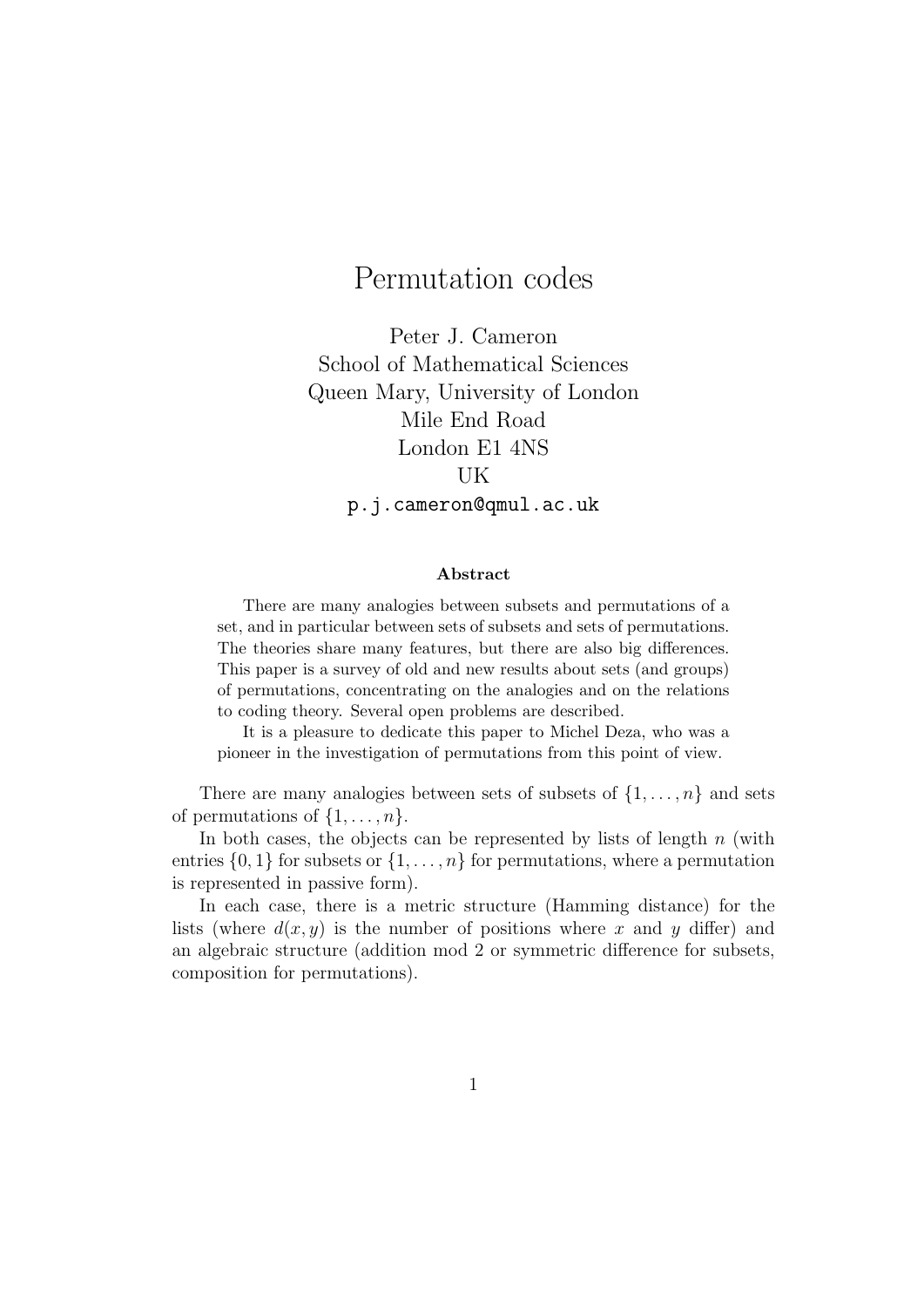# Permutation codes

Peter J. Cameron School of Mathematical Sciences Queen Mary, University of London Mile End Road London E1 4NS UK p.j.cameron@qmul.ac.uk

#### Abstract

There are many analogies between subsets and permutations of a set, and in particular between sets of subsets and sets of permutations. The theories share many features, but there are also big differences. This paper is a survey of old and new results about sets (and groups) of permutations, concentrating on the analogies and on the relations to coding theory. Several open problems are described.

It is a pleasure to dedicate this paper to Michel Deza, who was a pioneer in the investigation of permutations from this point of view.

There are many analogies between sets of subsets of  $\{1, \ldots, n\}$  and sets of permutations of  $\{1, \ldots, n\}$ .

In both cases, the objects can be represented by lists of length  $n$  (with entries  $\{0, 1\}$  for subsets or  $\{1, \ldots, n\}$  for permutations, where a permutation is represented in passive form).

In each case, there is a metric structure (Hamming distance) for the lists (where  $d(x, y)$  is the number of positions where x and y differ) and an algebraic structure (addition mod 2 or symmetric difference for subsets, composition for permutations).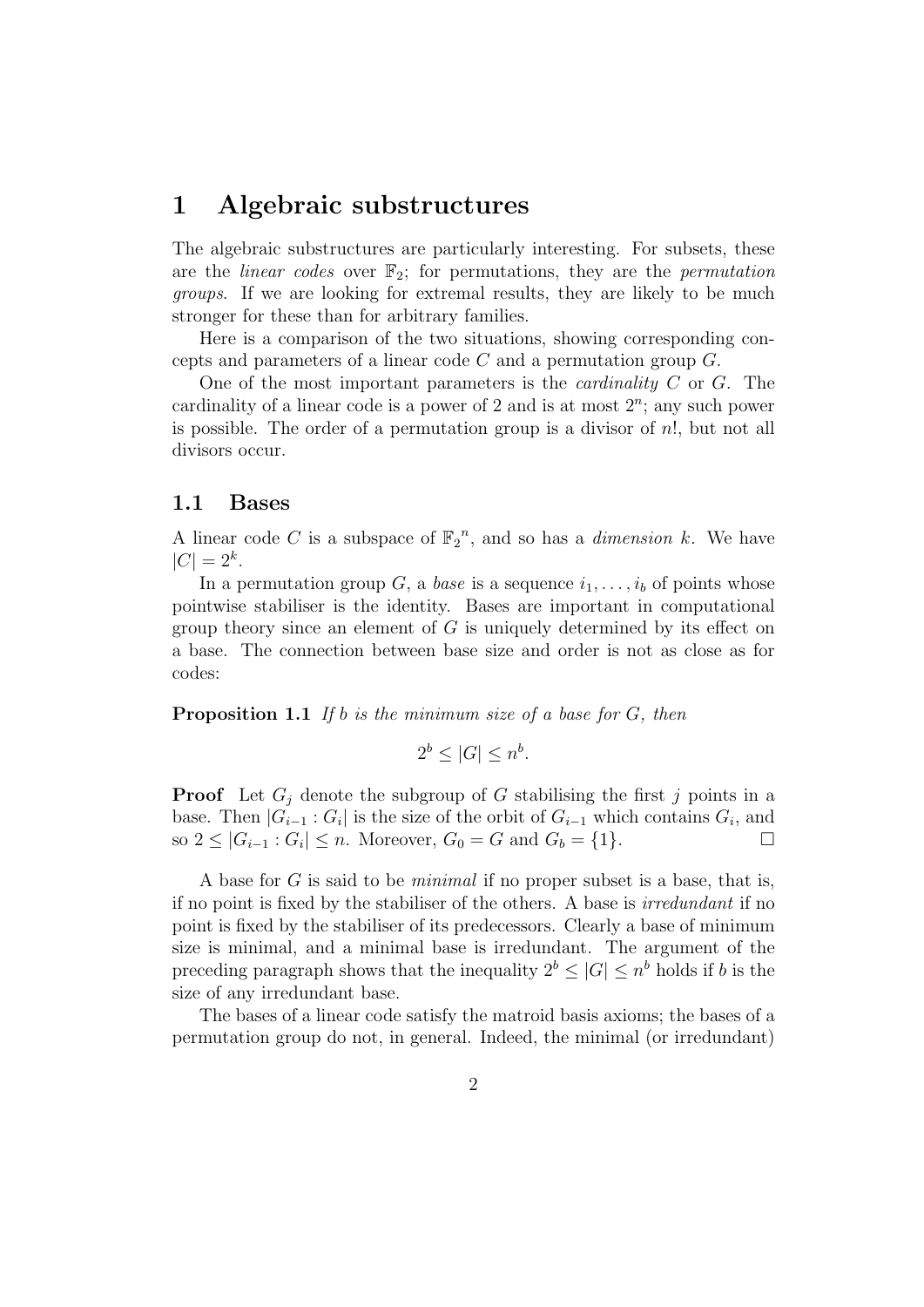### 1 Algebraic substructures

The algebraic substructures are particularly interesting. For subsets, these are the *linear codes* over  $\mathbb{F}_2$ ; for permutations, they are the *permutation* groups. If we are looking for extremal results, they are likely to be much stronger for these than for arbitrary families.

Here is a comparison of the two situations, showing corresponding concepts and parameters of a linear code  $C$  and a permutation group  $G$ .

One of the most important parameters is the *cardinality*  $C$  or  $G$ . The cardinality of a linear code is a power of 2 and is at most  $2<sup>n</sup>$ ; any such power is possible. The order of a permutation group is a divisor of  $n!$ , but not all divisors occur.

#### 1.1 Bases

A linear code C is a subspace of  $\mathbb{F}_2^n$ , and so has a *dimension* k. We have  $|C| = 2^k$ .

In a permutation group G, a base is a sequence  $i_1, \ldots, i_b$  of points whose pointwise stabiliser is the identity. Bases are important in computational group theory since an element of  $G$  is uniquely determined by its effect on a base. The connection between base size and order is not as close as for codes:

**Proposition 1.1** If b is the minimum size of a base for  $G$ , then

$$
2^b \le |G| \le n^b.
$$

**Proof** Let  $G_i$  denote the subgroup of G stabilising the first j points in a base. Then  $|G_{i-1} : G_i|$  is the size of the orbit of  $G_{i-1}$  which contains  $G_i$ , and so  $2 \le |G_{i-1} : G_i| \le n$ . Moreover,  $G_0 = G$  and  $G_b = \{1\}$ . □

A base for G is said to be minimal if no proper subset is a base, that is, if no point is fixed by the stabiliser of the others. A base is irredundant if no point is fixed by the stabiliser of its predecessors. Clearly a base of minimum size is minimal, and a minimal base is irredundant. The argument of the preceding paragraph shows that the inequality  $2^b \leq |G| \leq n^b$  holds if b is the size of any irredundant base.

The bases of a linear code satisfy the matroid basis axioms; the bases of a permutation group do not, in general. Indeed, the minimal (or irredundant)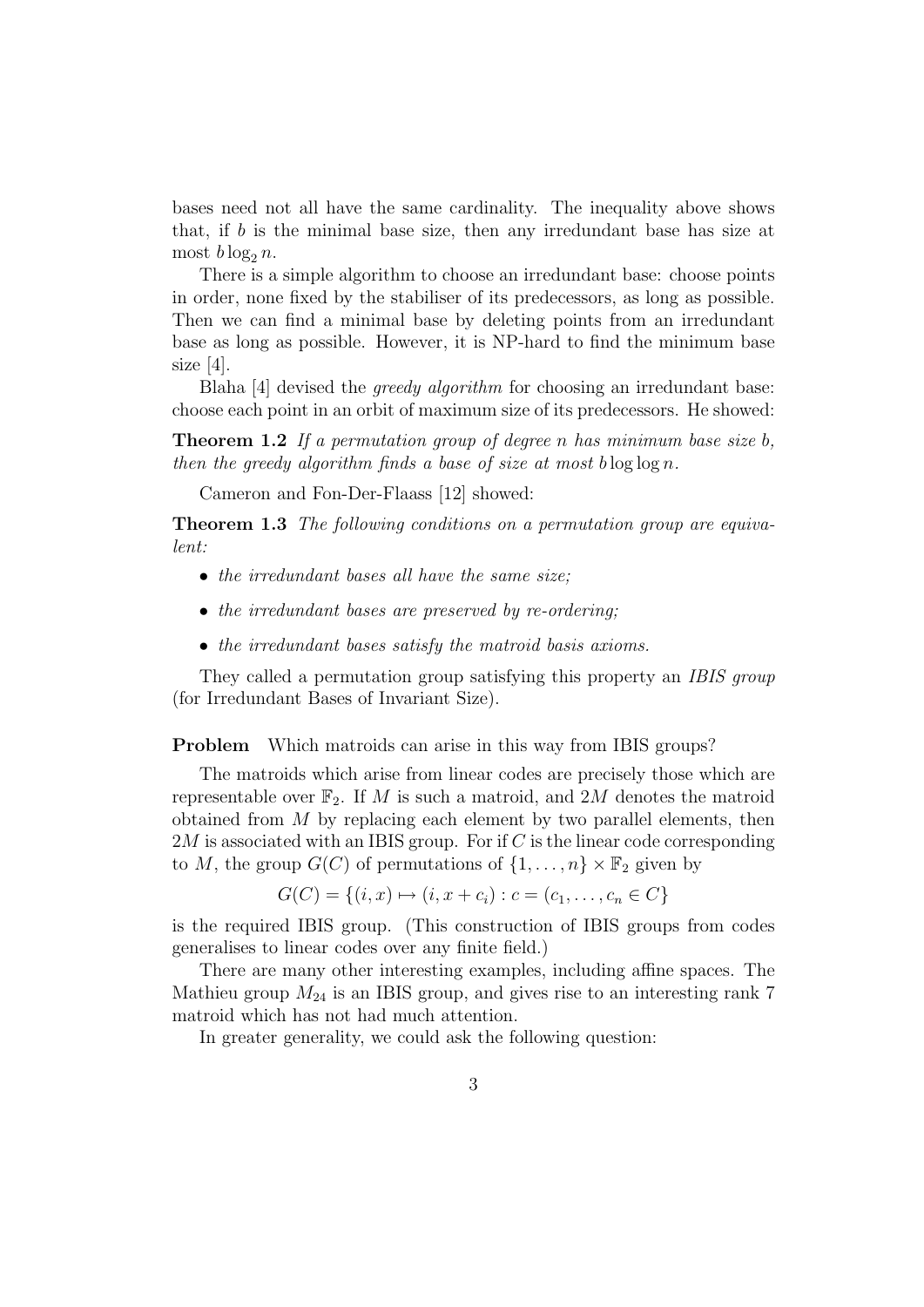bases need not all have the same cardinality. The inequality above shows that, if b is the minimal base size, then any irredundant base has size at most  $b \log_2 n$ .

There is a simple algorithm to choose an irredundant base: choose points in order, none fixed by the stabiliser of its predecessors, as long as possible. Then we can find a minimal base by deleting points from an irredundant base as long as possible. However, it is NP-hard to find the minimum base size [4].

Blaha [4] devised the greedy algorithm for choosing an irredundant base: choose each point in an orbit of maximum size of its predecessors. He showed:

**Theorem 1.2** If a permutation group of degree n has minimum base size  $b$ , then the greedy algorithm finds a base of size at most blog  $\log n$ .

Cameron and Fon-Der-Flaass [12] showed:

Theorem 1.3 The following conditions on a permutation group are equivalent:

- the irredundant bases all have the same size;
- the irredundant bases are preserved by re-ordering;
- the irredundant bases satisfy the matroid basis axioms.

They called a permutation group satisfying this property an IBIS group (for Irredundant Bases of Invariant Size).

Problem Which matroids can arise in this way from IBIS groups?

The matroids which arise from linear codes are precisely those which are representable over  $\mathbb{F}_2$ . If M is such a matroid, and 2M denotes the matroid obtained from  $M$  by replacing each element by two parallel elements, then  $2M$  is associated with an IBIS group. For if C is the linear code corresponding to M, the group  $G(C)$  of permutations of  $\{1, \ldots, n\} \times \mathbb{F}_2$  given by

$$
G(C) = \{(i, x) \mapsto (i, x + c_i) : c = (c_1, \dots, c_n \in C\}
$$

is the required IBIS group. (This construction of IBIS groups from codes generalises to linear codes over any finite field.)

There are many other interesting examples, including affine spaces. The Mathieu group  $M_{24}$  is an IBIS group, and gives rise to an interesting rank 7 matroid which has not had much attention.

In greater generality, we could ask the following question: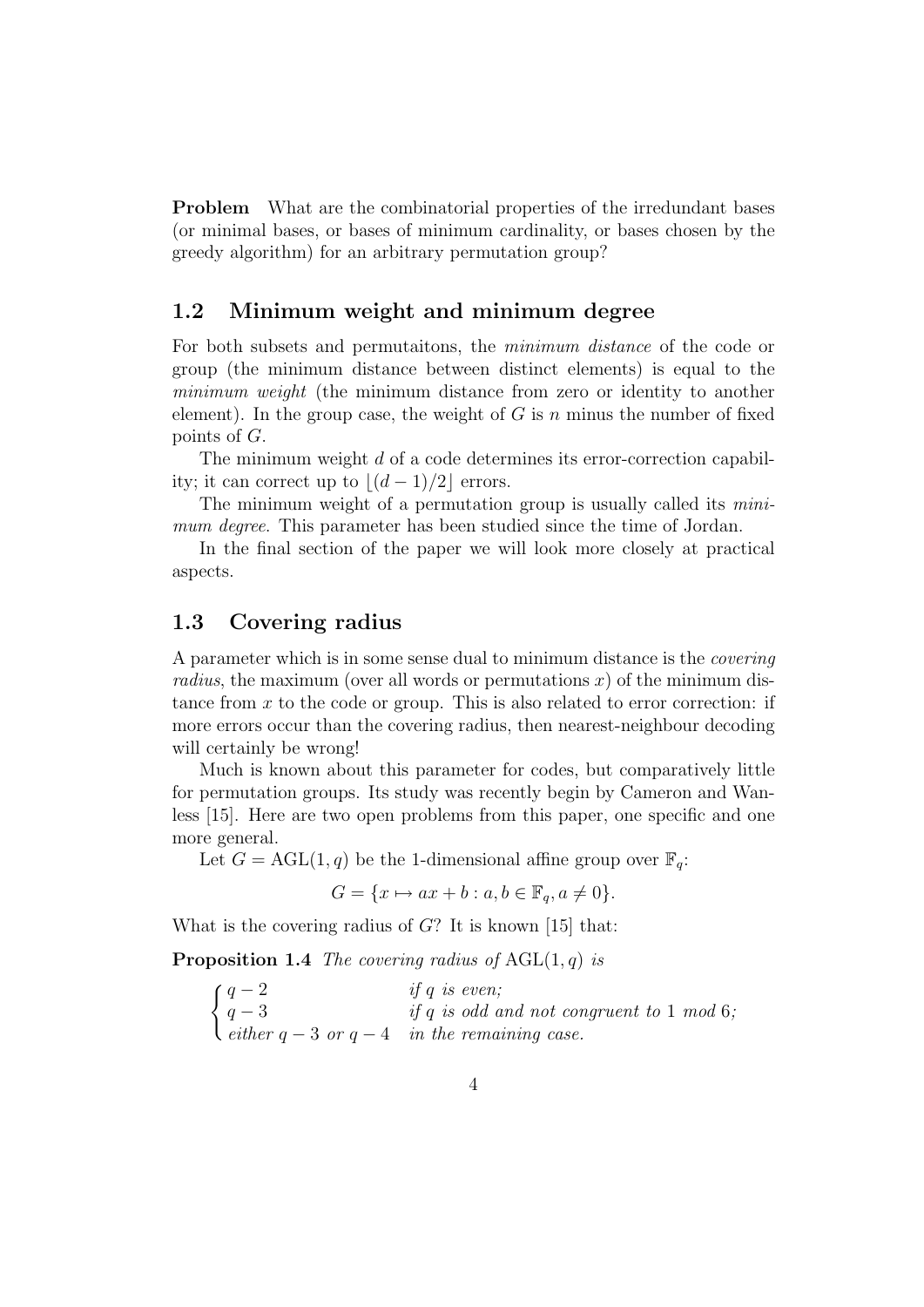**Problem** What are the combinatorial properties of the irredundant bases (or minimal bases, or bases of minimum cardinality, or bases chosen by the greedy algorithm) for an arbitrary permutation group?

### 1.2 Minimum weight and minimum degree

For both subsets and permutaitons, the minimum distance of the code or group (the minimum distance between distinct elements) is equal to the minimum weight (the minimum distance from zero or identity to another element). In the group case, the weight of  $G$  is n minus the number of fixed points of G.

The minimum weight d of a code determines its error-correction capability; it can correct up to  $|(d - 1)/2|$  errors.

The minimum weight of a permutation group is usually called its *mini*mum degree. This parameter has been studied since the time of Jordan.

In the final section of the paper we will look more closely at practical aspects.

#### 1.3 Covering radius

A parameter which is in some sense dual to minimum distance is the covering radius, the maximum (over all words or permutations  $x$ ) of the minimum distance from  $x$  to the code or group. This is also related to error correction: if more errors occur than the covering radius, then nearest-neighbour decoding will certainly be wrong!

Much is known about this parameter for codes, but comparatively little for permutation groups. Its study was recently begin by Cameron and Wanless [15]. Here are two open problems from this paper, one specific and one more general.

Let  $G = \text{AGL}(1, q)$  be the 1-dimensional affine group over  $\mathbb{F}_q$ :

$$
G = \{x \mapsto ax + b : a, b \in \mathbb{F}_q, a \neq 0\}.
$$

What is the covering radius of  $G$ ? It is known [15] that:

**Proposition 1.4** The covering radius of  $AGL(1, q)$  is

 $\int q-2$  if q is even;  $q-3$  if q is odd and not congruent to 1 mod 6; either  $q - 3$  or  $q - 4$  in the remaining case.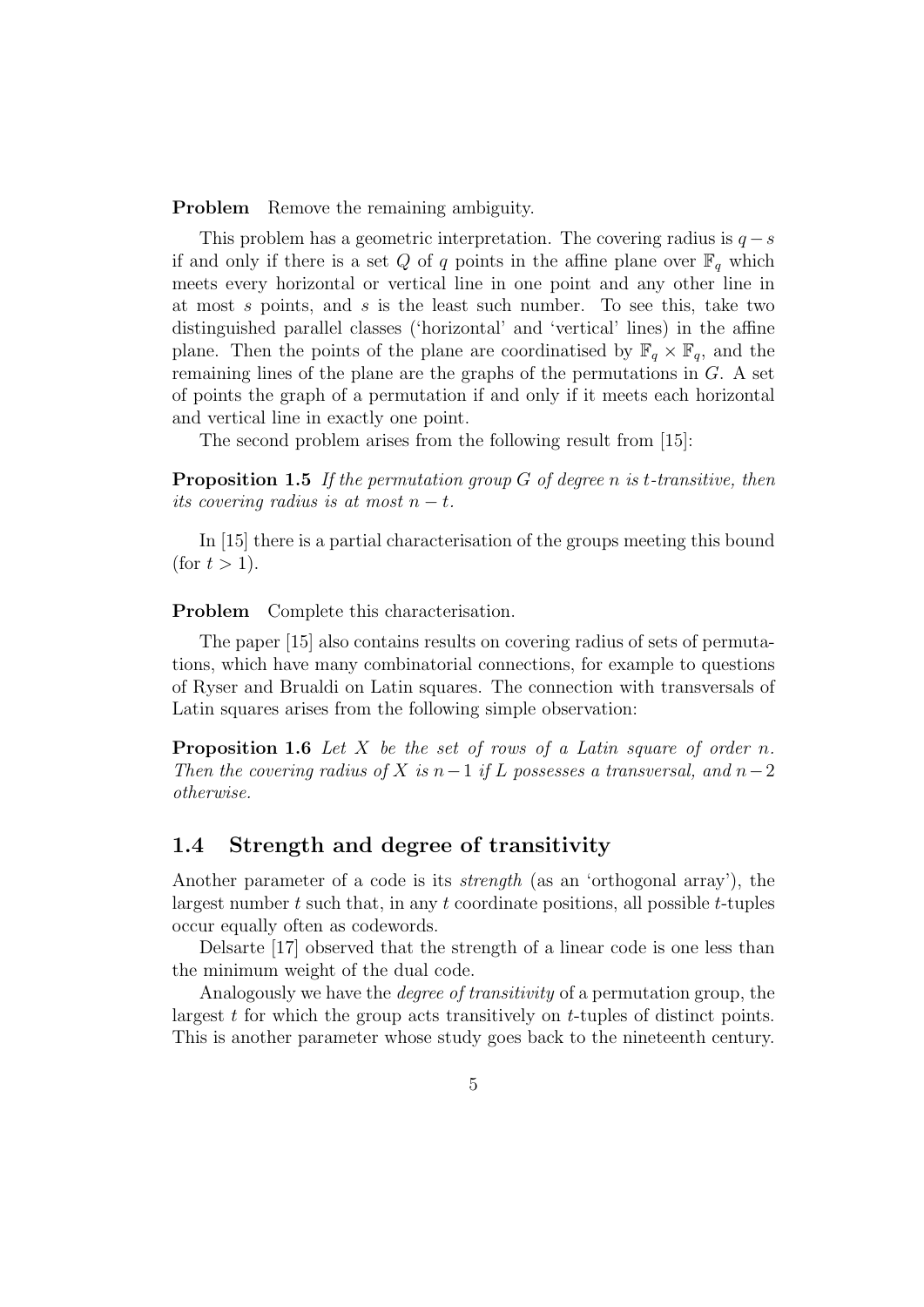**Problem** Remove the remaining ambiguity.

This problem has a geometric interpretation. The covering radius is  $q - s$ if and only if there is a set Q of q points in the affine plane over  $\mathbb{F}_q$  which meets every horizontal or vertical line in one point and any other line in at most s points, and s is the least such number. To see this, take two distinguished parallel classes ('horizontal' and 'vertical' lines) in the affine plane. Then the points of the plane are coordinatised by  $\mathbb{F}_q \times \mathbb{F}_q$ , and the remaining lines of the plane are the graphs of the permutations in G. A set of points the graph of a permutation if and only if it meets each horizontal and vertical line in exactly one point.

The second problem arises from the following result from [15]:

**Proposition 1.5** If the permutation group  $G$  of degree n is t-transitive, then its covering radius is at most  $n - t$ .

In [15] there is a partial characterisation of the groups meeting this bound (for  $t > 1$ ).

Problem Complete this characterisation.

The paper [15] also contains results on covering radius of sets of permutations, which have many combinatorial connections, for example to questions of Ryser and Brualdi on Latin squares. The connection with transversals of Latin squares arises from the following simple observation:

**Proposition 1.6** Let X be the set of rows of a Latin square of order n. Then the covering radius of X is  $n-1$  if L possesses a transversal, and  $n-2$ otherwise.

#### 1.4 Strength and degree of transitivity

Another parameter of a code is its *strength* (as an 'orthogonal array'), the largest number  $t$  such that, in any  $t$  coordinate positions, all possible  $t$ -tuples occur equally often as codewords.

Delsarte [17] observed that the strength of a linear code is one less than the minimum weight of the dual code.

Analogously we have the degree of transitivity of a permutation group, the largest t for which the group acts transitively on t-tuples of distinct points. This is another parameter whose study goes back to the nineteenth century.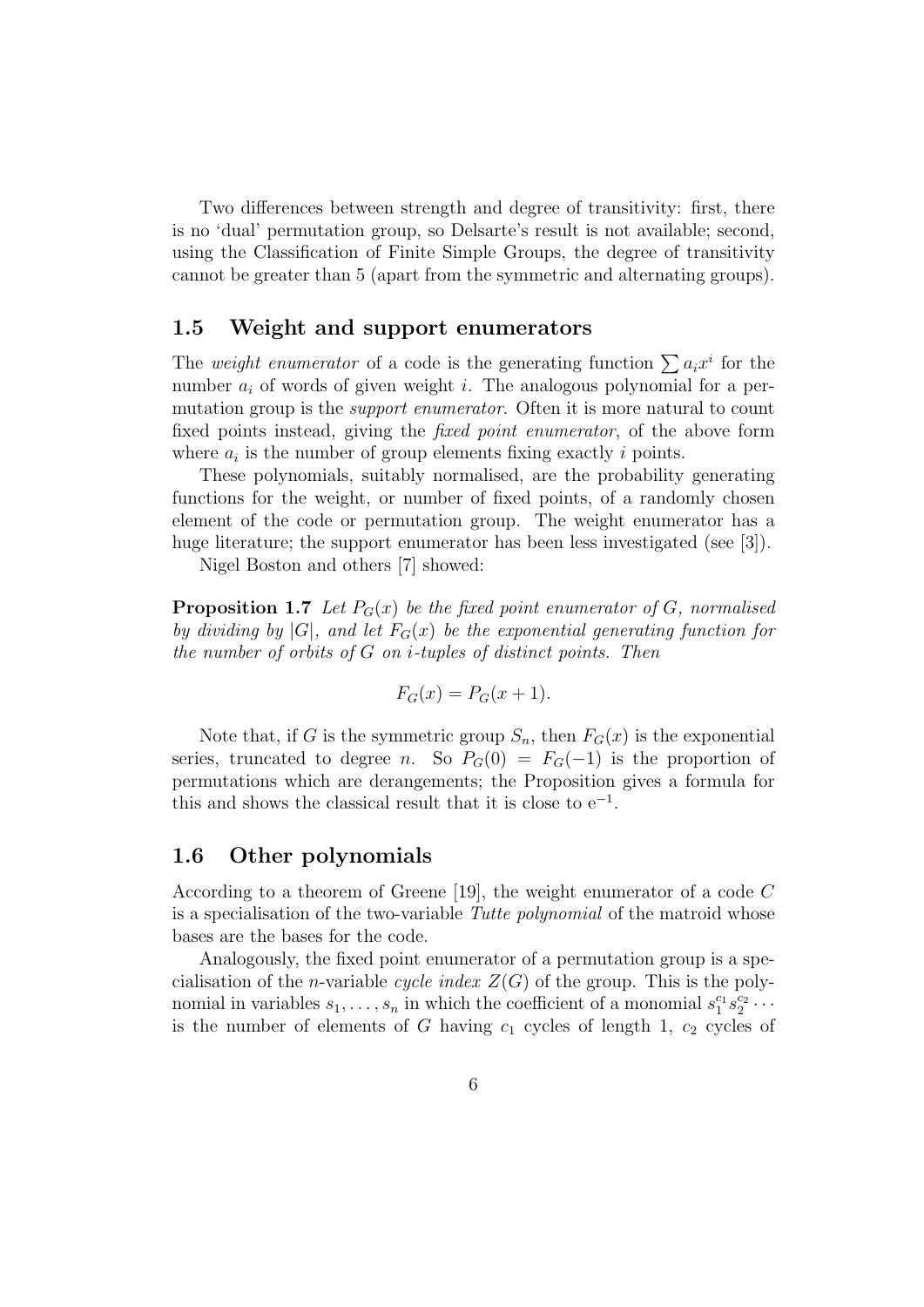Two differences between strength and degree of transitivity: first, there is no 'dual' permutation group, so Delsarte's result is not available; second, using the Classification of Finite Simple Groups, the degree of transitivity cannot be greater than 5 (apart from the symmetric and alternating groups).

#### 1.5 Weight and support enumerators

The weight enumerator of a code is the generating function  $\sum a_i x^i$  for the number  $a_i$  of words of given weight i. The analogous polynomial for a permutation group is the *support enumerator*. Often it is more natural to count fixed points instead, giving the *fixed point enumerator*, of the above form where  $a_i$  is the number of group elements fixing exactly i points.

These polynomials, suitably normalised, are the probability generating functions for the weight, or number of fixed points, of a randomly chosen element of the code or permutation group. The weight enumerator has a huge literature; the support enumerator has been less investigated (see [3]).

Nigel Boston and others [7] showed:

**Proposition 1.7** Let  $P_G(x)$  be the fixed point enumerator of G, normalised by dividing by  $|G|$ , and let  $F_G(x)$  be the exponential generating function for the number of orbits of  $G$  on *i*-tuples of distinct points. Then

$$
F_G(x) = P_G(x+1).
$$

Note that, if G is the symmetric group  $S_n$ , then  $F_G(x)$  is the exponential series, truncated to degree n. So  $P_G(0) = F_G(-1)$  is the proportion of permutations which are derangements; the Proposition gives a formula for this and shows the classical result that it is close to  $e^{-1}$ .

#### 1.6 Other polynomials

According to a theorem of Greene [19], the weight enumerator of a code C is a specialisation of the two-variable Tutte polynomial of the matroid whose bases are the bases for the code.

Analogously, the fixed point enumerator of a permutation group is a specialisation of the *n*-variable *cycle index*  $Z(G)$  of the group. This is the polynomial in variables  $s_1, \ldots, s_n$  in which the coefficient of a monomial  $s_1^{c_1} s_2^{c_2} \cdots$ is the number of elements of G having  $c_1$  cycles of length 1,  $c_2$  cycles of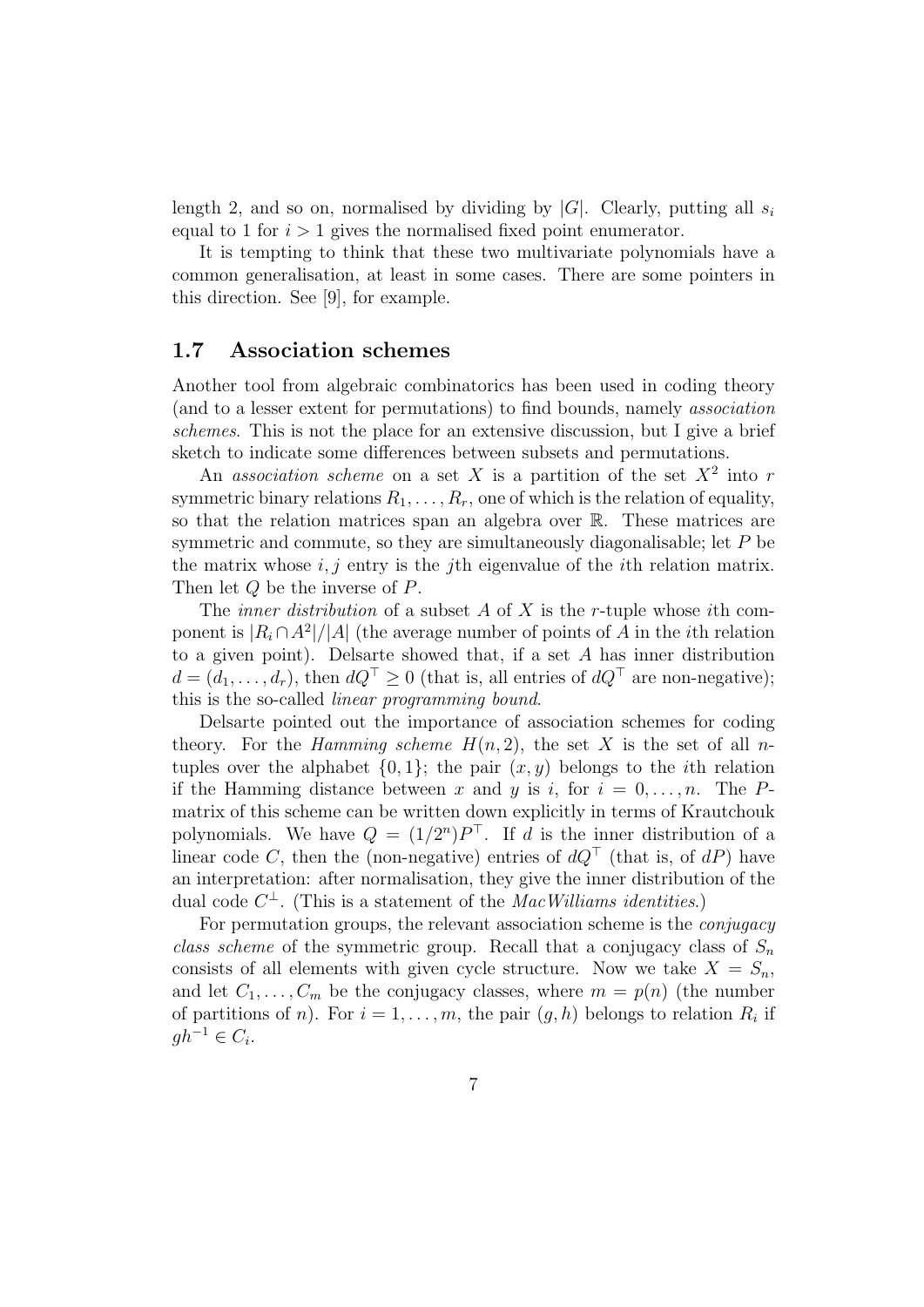length 2, and so on, normalised by dividing by  $|G|$ . Clearly, putting all  $s_i$ equal to 1 for  $i > 1$  gives the normalised fixed point enumerator.

It is tempting to think that these two multivariate polynomials have a common generalisation, at least in some cases. There are some pointers in this direction. See [9], for example.

#### 1.7 Association schemes

Another tool from algebraic combinatorics has been used in coding theory (and to a lesser extent for permutations) to find bounds, namely association schemes. This is not the place for an extensive discussion, but I give a brief sketch to indicate some differences between subsets and permutations.

An association scheme on a set X is a partition of the set  $X^2$  into r symmetric binary relations  $R_1, \ldots, R_r$ , one of which is the relation of equality, so that the relation matrices span an algebra over R. These matrices are symmetric and commute, so they are simultaneously diagonalisable; let P be the matrix whose  $i, j$  entry is the j<sup>th</sup> eigenvalue of the *i*<sup>th</sup> relation matrix. Then let Q be the inverse of P.

The *inner distribution* of a subset A of X is the r-tuple whose *i*th component is  $|R_i \cap A^2|/|A|$  (the average number of points of A in the *i*th relation to a given point). Delsarte showed that, if a set A has inner distribution  $d = (d_1, \ldots, d_r)$ , then  $dQ^{\top} \geq 0$  (that is, all entries of  $dQ^{\top}$  are non-negative); this is the so-called linear programming bound.

Delsarte pointed out the importance of association schemes for coding theory. For the *Hamming scheme*  $H(n, 2)$ , the set X is the set of all *n*tuples over the alphabet  $\{0, 1\}$ ; the pair  $(x, y)$  belongs to the *i*th relation if the Hamming distance between x and y is i, for  $i = 0, \ldots, n$ . The Pmatrix of this scheme can be written down explicitly in terms of Krautchouk polynomials. We have  $Q = (1/2^n)P^{\top}$ . If d is the inner distribution of a linear code C, then the (non-negative) entries of  $dQ^{\dagger}$  (that is, of  $dP$ ) have an interpretation: after normalisation, they give the inner distribution of the dual code  $C^{\perp}$ . (This is a statement of the *MacWilliams identities*.)

For permutation groups, the relevant association scheme is the conjugacy class scheme of the symmetric group. Recall that a conjugacy class of  $S_n$ consists of all elements with given cycle structure. Now we take  $X = S_n$ , and let  $C_1, \ldots, C_m$  be the conjugacy classes, where  $m = p(n)$  (the number of partitions of *n*). For  $i = 1, ..., m$ , the pair  $(g, h)$  belongs to relation  $R_i$  if  $gh^{-1} \in C_i$ .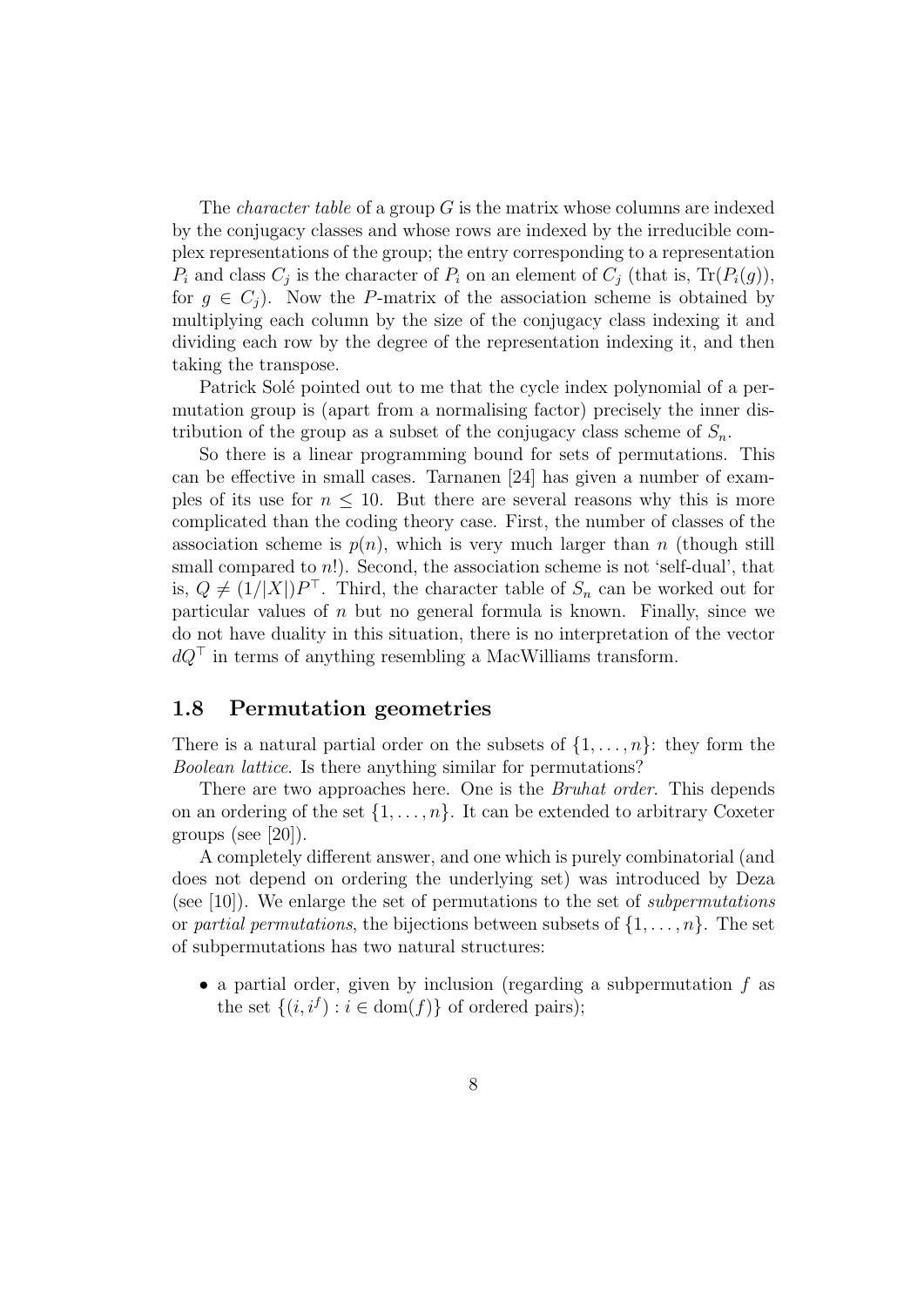The *character table* of a group  $G$  is the matrix whose columns are indexed by the conjugacy classes and whose rows are indexed by the irreducible complex representations of the group; the entry corresponding to a representation  $P_i$  and class  $C_j$  is the character of  $P_i$  on an element of  $C_j$  (that is,  $\text{Tr}(P_i(g))$ , for  $g \in C_i$ ). Now the P-matrix of the association scheme is obtained by multiplying each column by the size of the conjugacy class indexing it and dividing each row by the degree of the representation indexing it, and then taking the transpose.

Patrick Solé pointed out to me that the cycle index polynomial of a permutation group is (apart from a normalising factor) precisely the inner distribution of the group as a subset of the conjugacy class scheme of  $S_n$ .

So there is a linear programming bound for sets of permutations. This can be effective in small cases. Tarnanen [24] has given a number of examples of its use for  $n \leq 10$ . But there are several reasons why this is more complicated than the coding theory case. First, the number of classes of the association scheme is  $p(n)$ , which is very much larger than n (though still small compared to  $n!$ ). Second, the association scheme is not 'self-dual', that is,  $Q \neq (1/|X|)P^{\top}$ . Third, the character table of  $S_n$  can be worked out for particular values of  $n$  but no general formula is known. Finally, since we do not have duality in this situation, there is no interpretation of the vector  $dQ^{\dagger}$  in terms of anything resembling a MacWilliams transform.

#### 1.8 Permutation geometries

There is a natural partial order on the subsets of  $\{1, \ldots, n\}$ : they form the Boolean lattice. Is there anything similar for permutations?

There are two approaches here. One is the *Bruhat order*. This depends on an ordering of the set  $\{1, \ldots, n\}$ . It can be extended to arbitrary Coxeter groups (see [20]).

A completely different answer, and one which is purely combinatorial (and does not depend on ordering the underlying set) was introduced by Deza (see  $[10]$ ). We enlarge the set of permutations to the set of *subpermutations* or partial permutations, the bijections between subsets of  $\{1, \ldots, n\}$ . The set of subpermutations has two natural structures:

• a partial order, given by inclusion (regarding a subpermutation  $f$  as the set  $\{(i, i^f) : i \in \text{dom}(f)\}\$  of ordered pairs);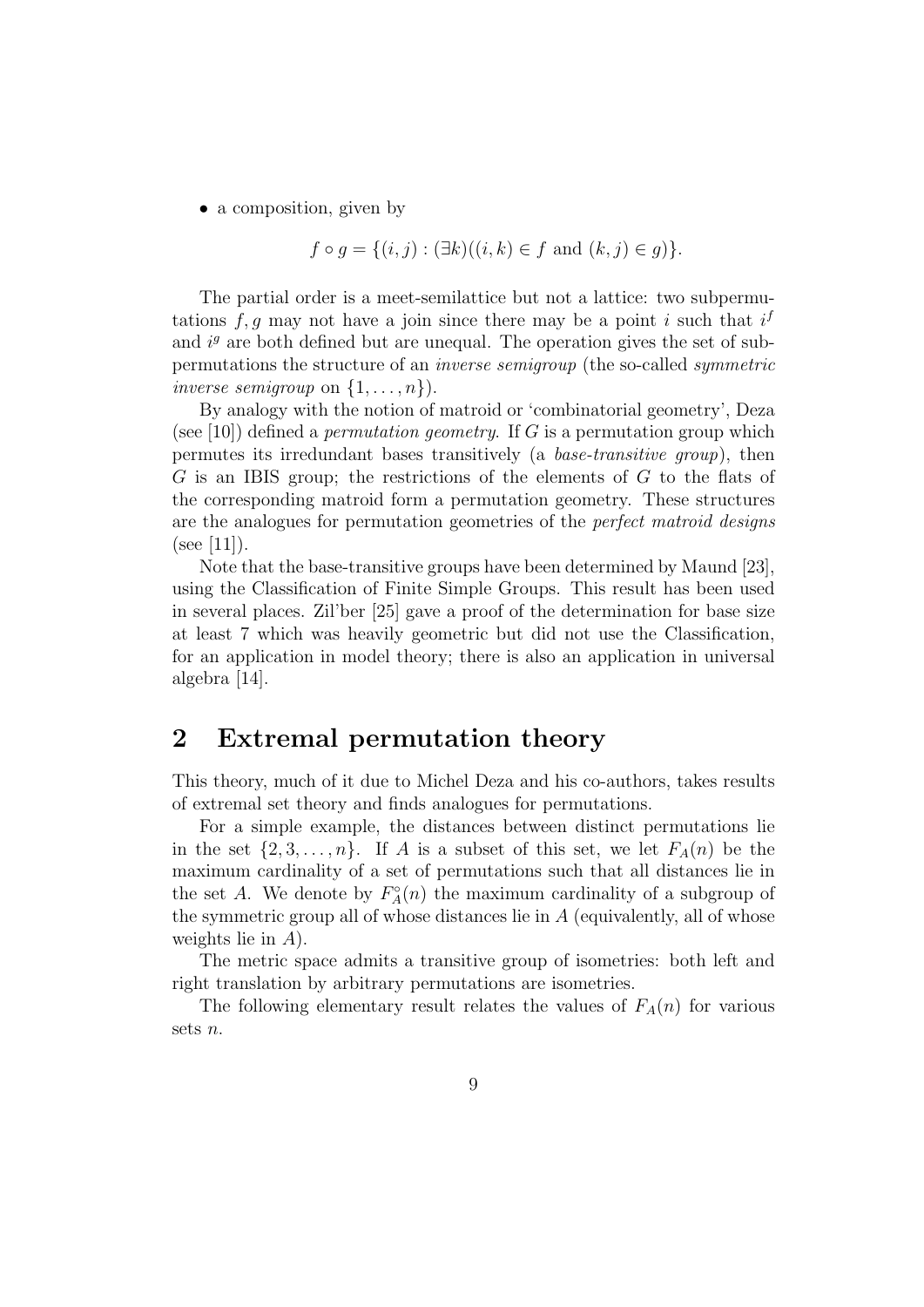• a composition, given by

$$
f \circ g = \{(i, j) : (\exists k)((i, k) \in f \text{ and } (k, j) \in g)\}.
$$

The partial order is a meet-semilattice but not a lattice: two subpermutations  $f, g$  may not have a join since there may be a point i such that  $i<sup>j</sup>$ and  $i<sup>g</sup>$  are both defined but are unequal. The operation gives the set of subpermutations the structure of an inverse semigroup (the so-called symmetric inverse semigroup on  $\{1, \ldots, n\}$ .

By analogy with the notion of matroid or 'combinatorial geometry', Deza (see [10]) defined a *permutation geometry*. If  $G$  is a permutation group which permutes its irredundant bases transitively (a base-transitive group), then  $G$  is an IBIS group; the restrictions of the elements of  $G$  to the flats of the corresponding matroid form a permutation geometry. These structures are the analogues for permutation geometries of the perfect matroid designs  $(see [11]).$ 

Note that the base-transitive groups have been determined by Maund [23], using the Classification of Finite Simple Groups. This result has been used in several places. Zil'ber [25] gave a proof of the determination for base size at least 7 which was heavily geometric but did not use the Classification, for an application in model theory; there is also an application in universal algebra [14].

### 2 Extremal permutation theory

This theory, much of it due to Michel Deza and his co-authors, takes results of extremal set theory and finds analogues for permutations.

For a simple example, the distances between distinct permutations lie in the set  $\{2, 3, \ldots, n\}$ . If A is a subset of this set, we let  $F_A(n)$  be the maximum cardinality of a set of permutations such that all distances lie in the set A. We denote by  $F_A^{\circ}(n)$  the maximum cardinality of a subgroup of the symmetric group all of whose distances lie in  $A$  (equivalently, all of whose weights lie in A).

The metric space admits a transitive group of isometries: both left and right translation by arbitrary permutations are isometries.

The following elementary result relates the values of  $F_A(n)$  for various sets n.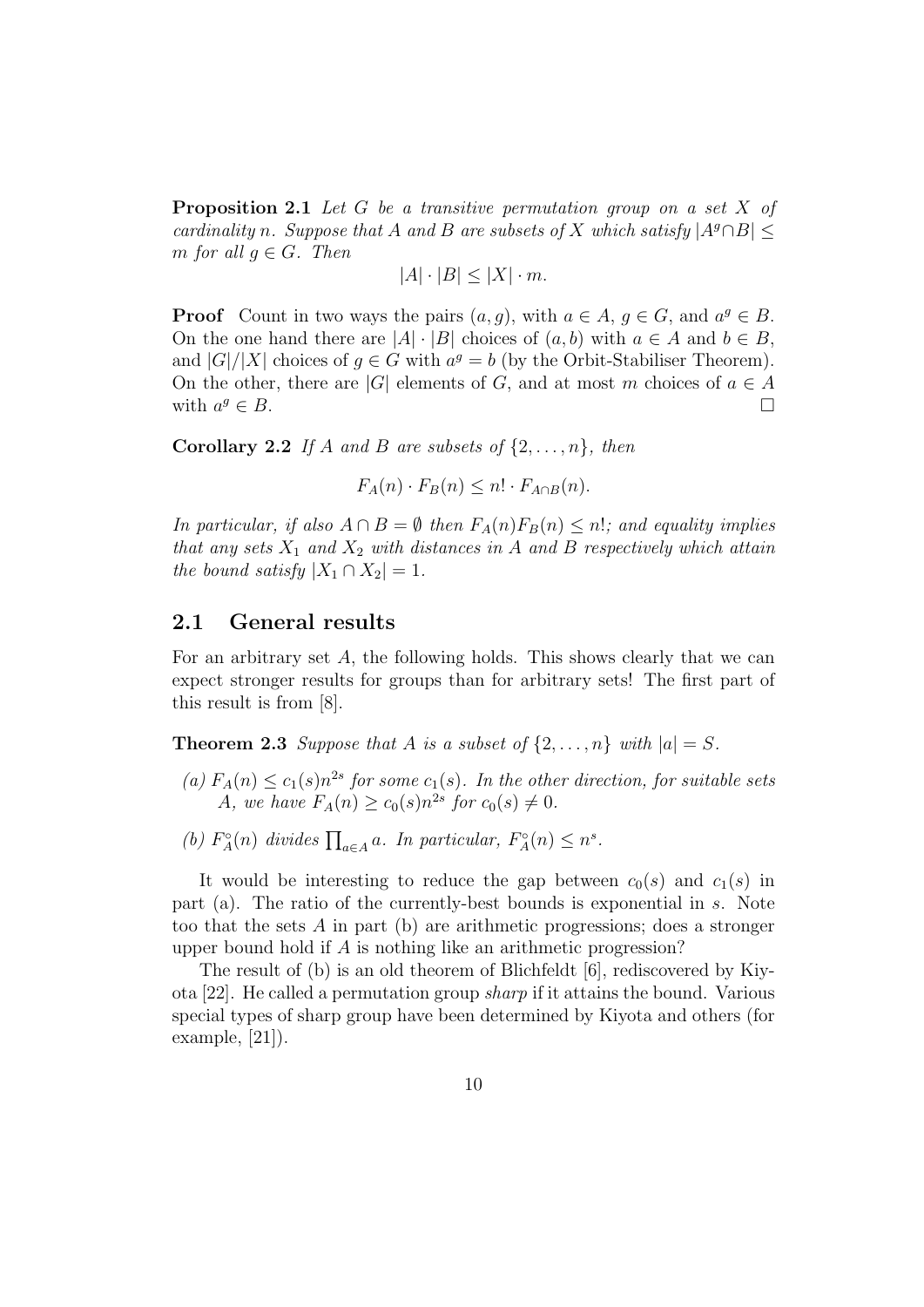**Proposition 2.1** Let G be a transitive permutation group on a set X of cardinality n. Suppose that A and B are subsets of X which satisfy  $|A^g \cap B|$ m for all  $q \in G$ . Then

$$
|A| \cdot |B| \le |X| \cdot m.
$$

**Proof** Count in two ways the pairs  $(a, g)$ , with  $a \in A$ ,  $g \in G$ , and  $a^g \in B$ . On the one hand there are  $|A| \cdot |B|$  choices of  $(a, b)$  with  $a \in A$  and  $b \in B$ , and  $|G|/|X|$  choices of  $g \in G$  with  $a^g = b$  (by the Orbit-Stabiliser Theorem). On the other, there are |G| elements of G, and at most m choices of  $a \in A$ with  $a^g \in B$ .  $\leq B$ .

**Corollary 2.2** If A and B are subsets of  $\{2, \ldots, n\}$ , then

 $F_A(n) \cdot F_B(n) \leq n! \cdot F_{A \cap B}(n).$ 

In particular, if also  $A \cap B = \emptyset$  then  $F_A(n)F_B(n) \leq n!$ ; and equality implies that any sets  $X_1$  and  $X_2$  with distances in A and B respectively which attain the bound satisfy  $|X_1 \cap X_2| = 1$ .

#### 2.1 General results

For an arbitrary set A, the following holds. This shows clearly that we can expect stronger results for groups than for arbitrary sets! The first part of this result is from [8].

**Theorem 2.3** Suppose that A is a subset of  $\{2, \ldots, n\}$  with  $|a| = S$ .

- (a)  $F_A(n) \le c_1(s) n^{2s}$  for some  $c_1(s)$ . In the other direction, for suitable sets A, we have  $F_A(n) \ge c_0(s) n^{2s}$  for  $c_0(s) \ne 0$ .
- (b)  $F_A^{\circ}(n)$  divides  $\prod_{a \in A} a$ . In particular,  $F_A^{\circ}(n) \leq n^s$ .

It would be interesting to reduce the gap between  $c_0(s)$  and  $c_1(s)$  in part (a). The ratio of the currently-best bounds is exponential in s. Note too that the sets  $\tilde{A}$  in part (b) are arithmetic progressions; does a stronger upper bound hold if A is nothing like an arithmetic progression?

The result of (b) is an old theorem of Blichfeldt [6], rediscovered by Kiyota [22]. He called a permutation group sharp if it attains the bound. Various special types of sharp group have been determined by Kiyota and others (for example, [21]).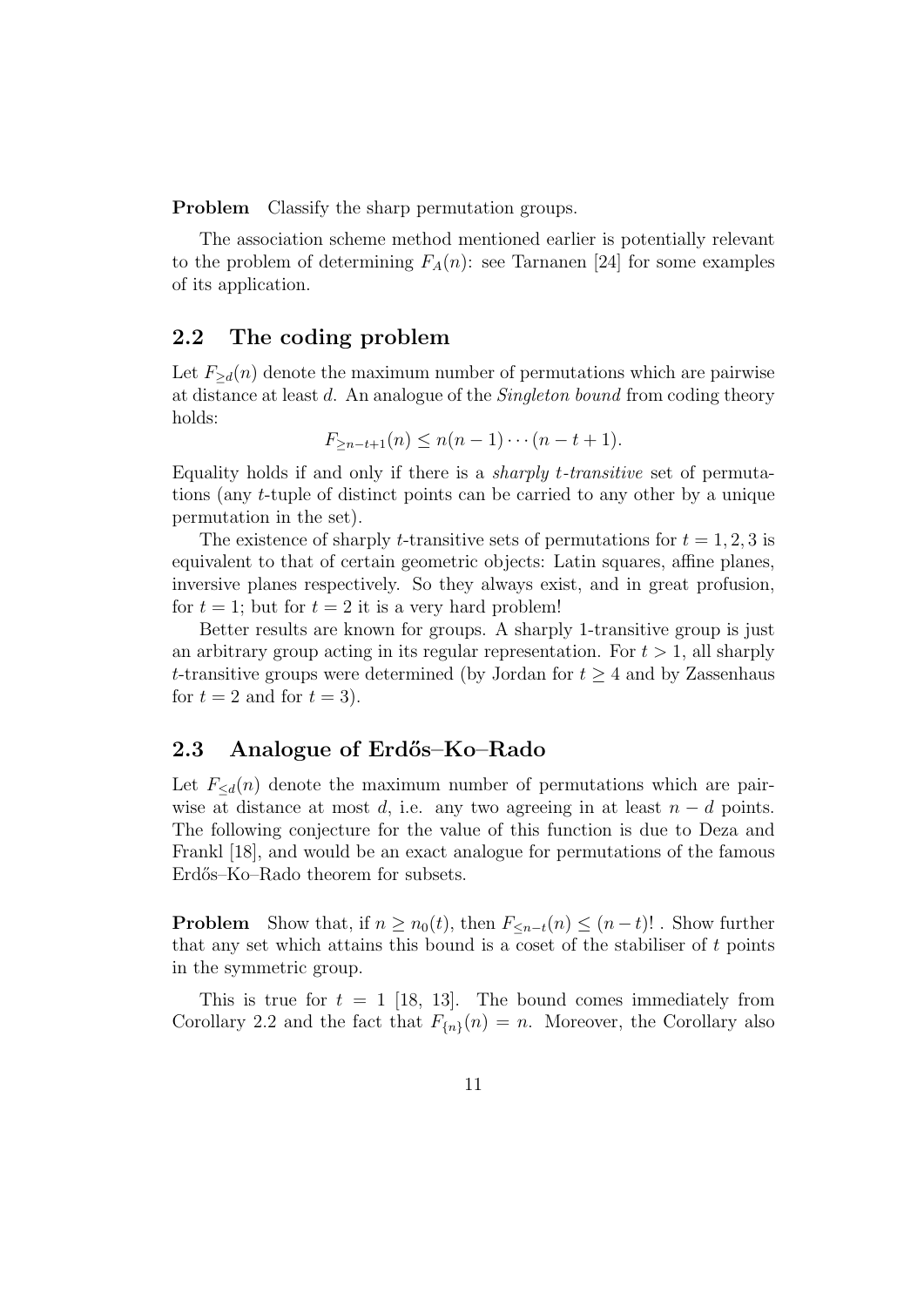Problem Classify the sharp permutation groups.

The association scheme method mentioned earlier is potentially relevant to the problem of determining  $F_A(n)$ : see Tarnanen [24] for some examples of its application.

#### 2.2 The coding problem

Let  $F_{\geq d}(n)$  denote the maximum number of permutations which are pairwise at distance at least d. An analogue of the Singleton bound from coding theory holds:

$$
F_{\geq n-t+1}(n) \leq n(n-1)\cdots(n-t+1).
$$

Equality holds if and only if there is a sharply t-transitive set of permutations (any t-tuple of distinct points can be carried to any other by a unique permutation in the set).

The existence of sharply t-transitive sets of permutations for  $t = 1, 2, 3$  is equivalent to that of certain geometric objects: Latin squares, affine planes, inversive planes respectively. So they always exist, and in great profusion, for  $t = 1$ ; but for  $t = 2$  it is a very hard problem!

Better results are known for groups. A sharply 1-transitive group is just an arbitrary group acting in its regular representation. For  $t > 1$ , all sharply t-transitive groups were determined (by Jordan for  $t \geq 4$  and by Zassenhaus for  $t = 2$  and for  $t = 3$ .

#### 2.3 Analogue of Erdős–Ko–Rado

Let  $F_{\le d}(n)$  denote the maximum number of permutations which are pairwise at distance at most d, i.e. any two agreeing in at least  $n - d$  points. The following conjecture for the value of this function is due to Deza and Frankl [18], and would be an exact analogue for permutations of the famous Erdős–Ko–Rado theorem for subsets.

**Problem** Show that, if  $n \geq n_0(t)$ , then  $F_{\leq n-t}(n) \leq (n-t)!$ . Show further that any set which attains this bound is a coset of the stabiliser of  $t$  points in the symmetric group.

This is true for  $t = 1$  [18, 13]. The bound comes immediately from Corollary 2.2 and the fact that  $F_{n}(n) = n$ . Moreover, the Corollary also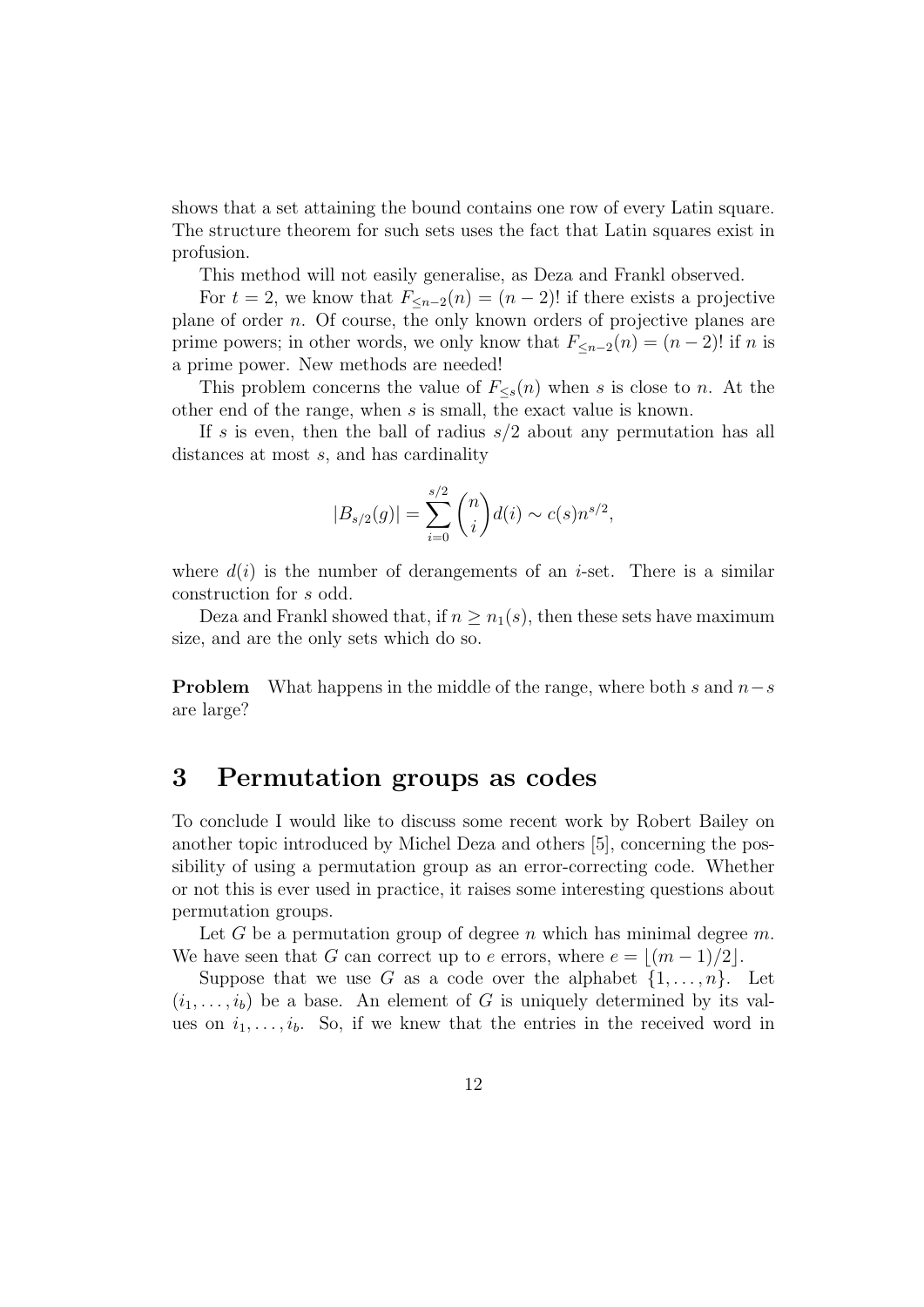shows that a set attaining the bound contains one row of every Latin square. The structure theorem for such sets uses the fact that Latin squares exist in profusion.

This method will not easily generalise, as Deza and Frankl observed.

For  $t = 2$ , we know that  $F_{\leq n-2}(n) = (n-2)!$  if there exists a projective plane of order n. Of course, the only known orders of projective planes are prime powers; in other words, we only know that  $F_{\leq n-2}(n) = (n-2)!$  if n is a prime power. New methods are needed!

This problem concerns the value of  $F_{\leq s}(n)$  when s is close to n. At the other end of the range, when s is small, the exact value is known.

If s is even, then the ball of radius  $s/2$  about any permutation has all distances at most s, and has cardinality

$$
|B_{s/2}(g)| = \sum_{i=0}^{s/2} {n \choose i} d(i) \sim c(s) n^{s/2},
$$

where  $d(i)$  is the number of derangements of an *i*-set. There is a similar construction for s odd.

Deza and Frankl showed that, if  $n \geq n_1(s)$ , then these sets have maximum size, and are the only sets which do so.

**Problem** What happens in the middle of the range, where both s and  $n-s$ are large?

## 3 Permutation groups as codes

To conclude I would like to discuss some recent work by Robert Bailey on another topic introduced by Michel Deza and others [5], concerning the possibility of using a permutation group as an error-correcting code. Whether or not this is ever used in practice, it raises some interesting questions about permutation groups.

Let G be a permutation group of degree n which has minimal degree  $m$ . We have seen that G can correct up to e errors, where  $e = |(m - 1)/2|$ .

Suppose that we use G as a code over the alphabet  $\{1, \ldots, n\}$ . Let  $(i_1, \ldots, i_b)$  be a base. An element of G is uniquely determined by its values on  $i_1, \ldots, i_b$ . So, if we knew that the entries in the received word in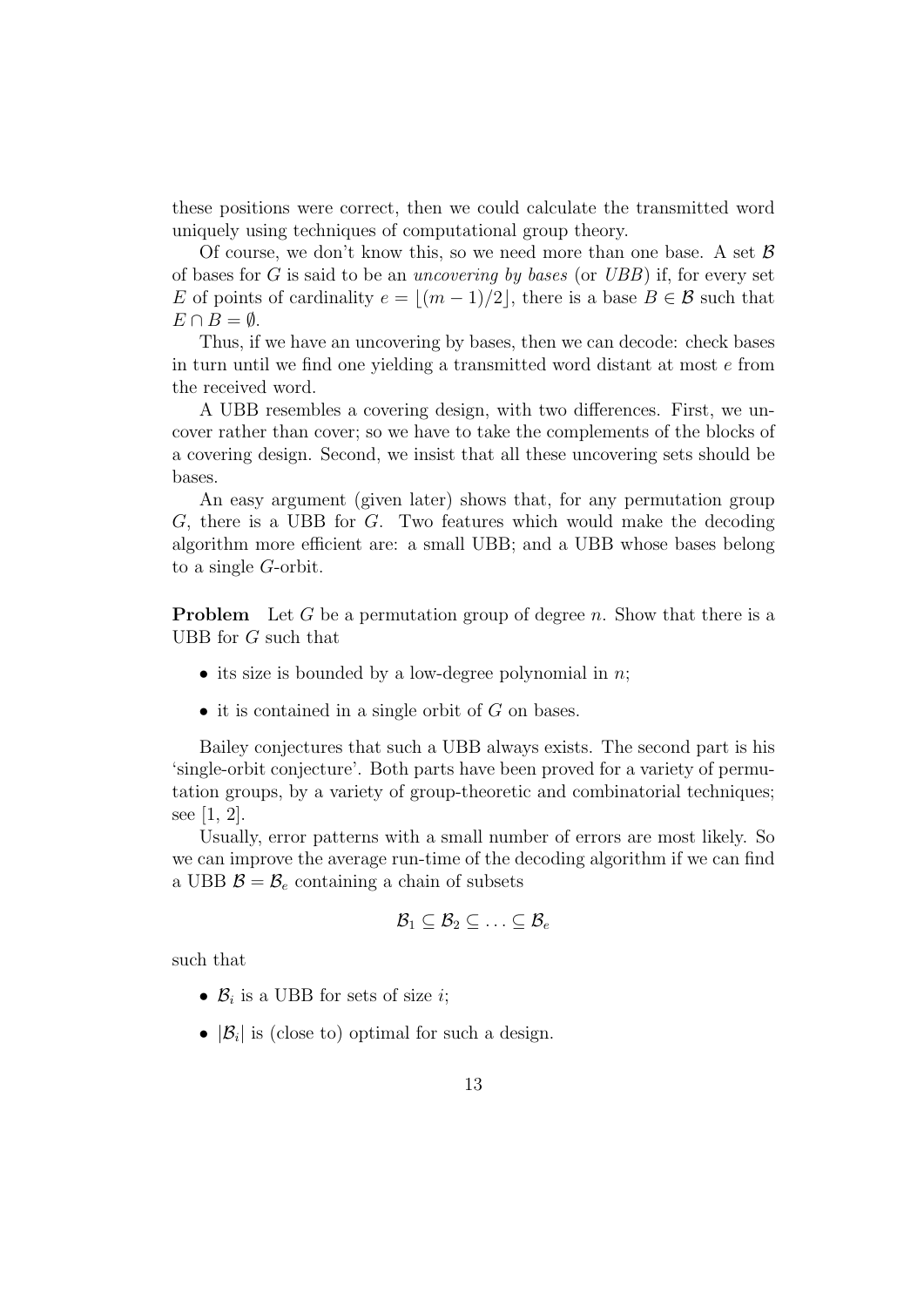these positions were correct, then we could calculate the transmitted word uniquely using techniques of computational group theory.

Of course, we don't know this, so we need more than one base. A set  $\beta$ of bases for G is said to be an uncovering by bases (or UBB) if, for every set E of points of cardinality  $e = |(m - 1)/2|$ , there is a base  $B \in \mathcal{B}$  such that  $E \cap B = \emptyset$ .

Thus, if we have an uncovering by bases, then we can decode: check bases in turn until we find one yielding a transmitted word distant at most e from the received word.

A UBB resembles a covering design, with two differences. First, we uncover rather than cover; so we have to take the complements of the blocks of a covering design. Second, we insist that all these uncovering sets should be bases.

An easy argument (given later) shows that, for any permutation group G, there is a UBB for G. Two features which would make the decoding algorithm more efficient are: a small UBB; and a UBB whose bases belong to a single G-orbit.

**Problem** Let G be a permutation group of degree n. Show that there is a UBB for G such that

- its size is bounded by a low-degree polynomial in  $n$ ;
- $\bullet$  it is contained in a single orbit of G on bases.

Bailey conjectures that such a UBB always exists. The second part is his 'single-orbit conjecture'. Both parts have been proved for a variety of permutation groups, by a variety of group-theoretic and combinatorial techniques; see [1, 2].

Usually, error patterns with a small number of errors are most likely. So we can improve the average run-time of the decoding algorithm if we can find a UBB  $\mathcal{B} = \mathcal{B}_e$  containing a chain of subsets

$$
\mathcal{B}_1 \subseteq \mathcal{B}_2 \subseteq \ldots \subseteq \mathcal{B}_e
$$

such that

- $\mathcal{B}_i$  is a UBB for sets of size *i*;
- $|\mathcal{B}_i|$  is (close to) optimal for such a design.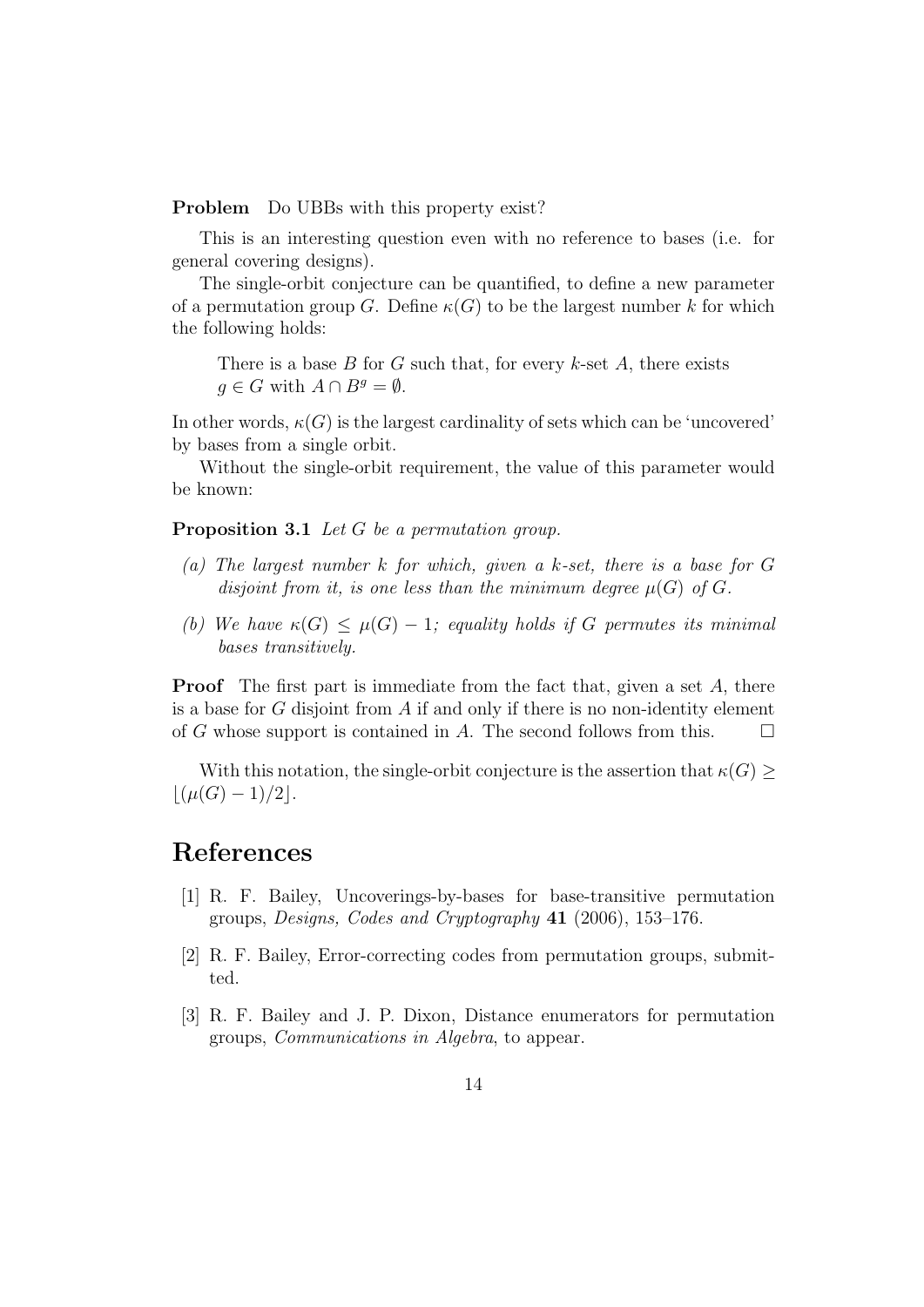**Problem** Do UBBs with this property exist?

This is an interesting question even with no reference to bases (i.e. for general covering designs).

The single-orbit conjecture can be quantified, to define a new parameter of a permutation group G. Define  $\kappa(G)$  to be the largest number k for which the following holds:

There is a base  $B$  for  $G$  such that, for every  $k$ -set  $A$ , there exists  $q \in G$  with  $A \cap B^g = \emptyset$ .

In other words,  $\kappa(G)$  is the largest cardinality of sets which can be 'uncovered' by bases from a single orbit.

Without the single-orbit requirement, the value of this parameter would be known:

Proposition 3.1 Let G be a permutation group.

- (a) The largest number k for which, given a k-set, there is a base for G disjoint from it, is one less than the minimum degree  $\mu(G)$  of G.
- (b) We have  $\kappa(G) \leq \mu(G) 1$ ; equality holds if G permutes its minimal bases transitively.

**Proof** The first part is immediate from the fact that, given a set  $A$ , there is a base for  $G$  disjoint from  $A$  if and only if there is no non-identity element of G whose support is contained in A. The second follows from this.  $\Box$ 

With this notation, the single-orbit conjecture is the assertion that  $\kappa(G) \geq$  $|(\mu(G) - 1)/2|$ .

## References

- [1] R. F. Bailey, Uncoverings-by-bases for base-transitive permutation groups, Designs, Codes and Cryptography 41 (2006), 153–176.
- [2] R. F. Bailey, Error-correcting codes from permutation groups, submitted.
- [3] R. F. Bailey and J. P. Dixon, Distance enumerators for permutation groups, Communications in Algebra, to appear.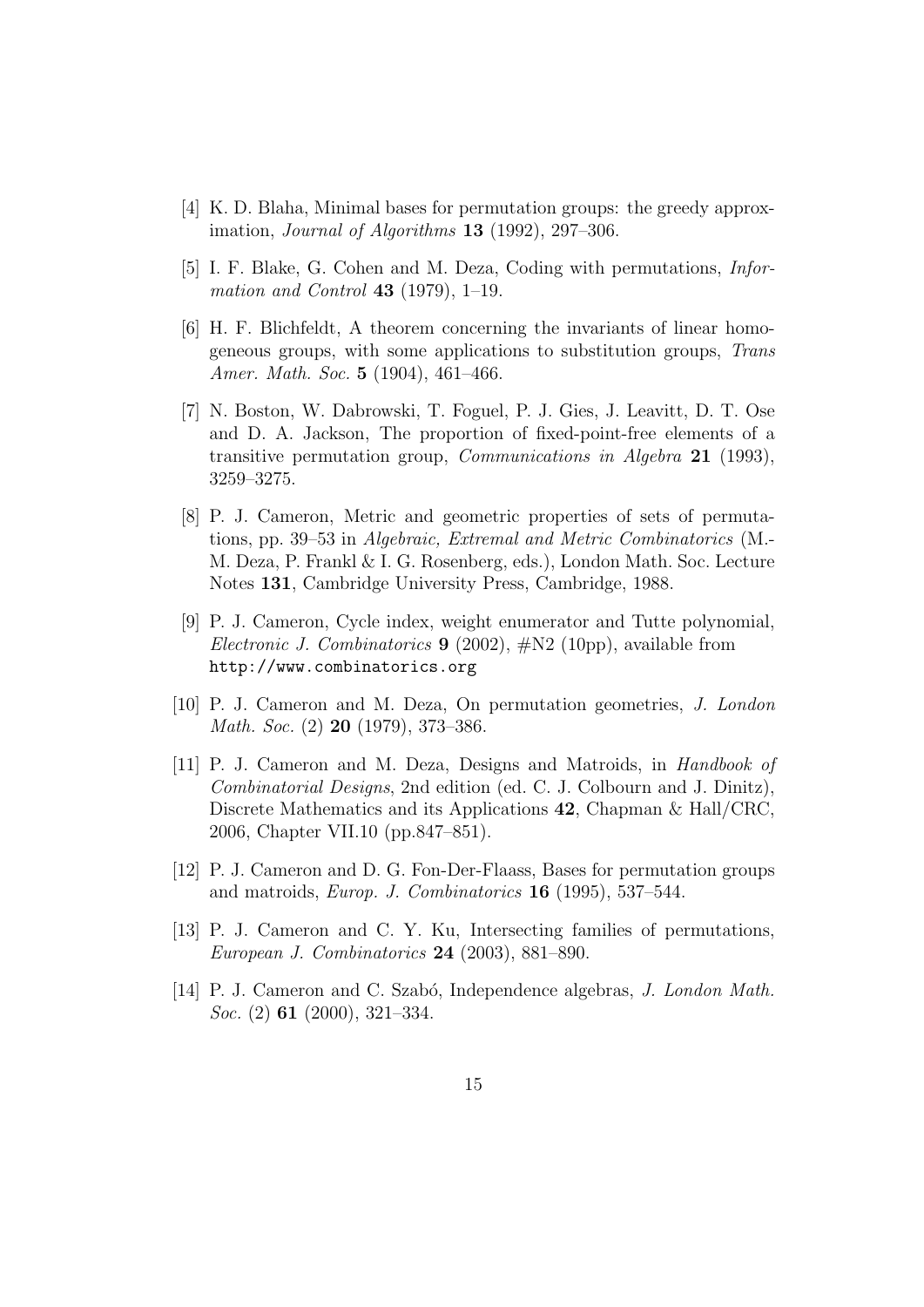- [4] K. D. Blaha, Minimal bases for permutation groups: the greedy approximation, *Journal of Algorithms* **13** (1992), 297–306.
- [5] I. F. Blake, G. Cohen and M. Deza, Coding with permutations, Infor*mation and Control* 43 (1979), 1–19.
- [6] H. F. Blichfeldt, A theorem concerning the invariants of linear homogeneous groups, with some applications to substitution groups, Trans Amer. Math. Soc. 5 (1904), 461–466.
- [7] N. Boston, W. Dabrowski, T. Foguel, P. J. Gies, J. Leavitt, D. T. Ose and D. A. Jackson, The proportion of fixed-point-free elements of a transitive permutation group, Communications in Algebra 21 (1993), 3259–3275.
- [8] P. J. Cameron, Metric and geometric properties of sets of permutations, pp. 39–53 in Algebraic, Extremal and Metric Combinatorics (M.- M. Deza, P. Frankl & I. G. Rosenberg, eds.), London Math. Soc. Lecture Notes 131, Cambridge University Press, Cambridge, 1988.
- [9] P. J. Cameron, Cycle index, weight enumerator and Tutte polynomial, *Electronic J. Combinatorics* **9** (2002),  $\#N2$  (10pp), available from http://www.combinatorics.org
- [10] P. J. Cameron and M. Deza, On permutation geometries, J. London Math. Soc. (2) 20 (1979), 373–386.
- [11] P. J. Cameron and M. Deza, Designs and Matroids, in Handbook of Combinatorial Designs, 2nd edition (ed. C. J. Colbourn and J. Dinitz), Discrete Mathematics and its Applications 42, Chapman & Hall/CRC, 2006, Chapter VII.10 (pp.847–851).
- [12] P. J. Cameron and D. G. Fon-Der-Flaass, Bases for permutation groups and matroids, Europ. J. Combinatorics 16 (1995), 537–544.
- [13] P. J. Cameron and C. Y. Ku, Intersecting families of permutations, European J. Combinatorics 24 (2003), 881–890.
- [14] P. J. Cameron and C. Szabó, Independence algebras, *J. London Math.* Soc. (2) **61** (2000), 321-334.